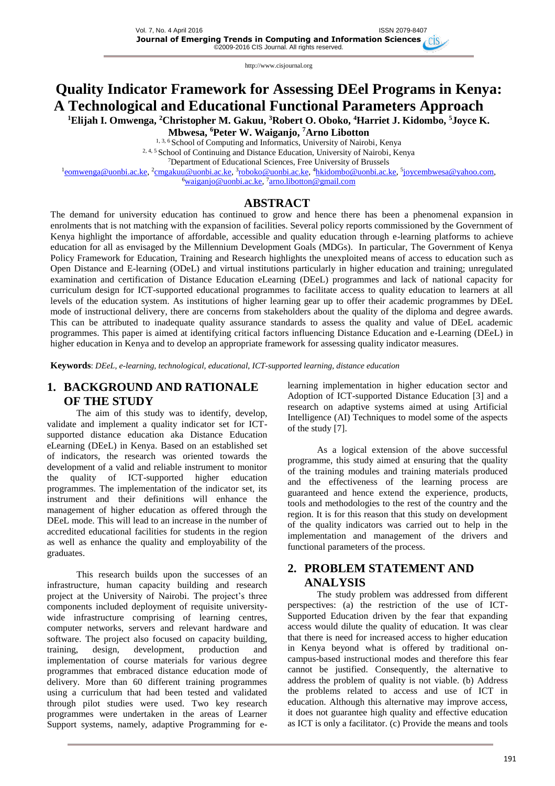# **Quality Indicator Framework for Assessing DEel Programs in Kenya: A Technological and Educational Functional Parameters Approach**

**<sup>1</sup>Elijah I. Omwenga, <sup>2</sup>Christopher M. Gakuu, <sup>3</sup>Robert O. Oboko, <sup>4</sup>Harriet J. Kidombo, <sup>5</sup>Joyce K.** 

**Mbwesa, <sup>6</sup>Peter W. Waiganjo, <sup>7</sup>Arno Libotton**

<sup>1, 3, 6</sup> School of Computing and Informatics, University of Nairobi, Kenya

<sup>2, 4, 5</sup> School of Continuing and Distance Education, University of Nairobi, Kenya

<sup>7</sup>Department of Educational Sciences, Free University of Brussels

<sup>1</sup>[eomwenga@uonbi.ac.ke,](mailto:eomwenga@uonbi.ac.ke) <sup>2</sup>[cmgakuu@uonbi.ac.ke,](mailto:cmgakuu@uonbi.ac.ke) <sup>3</sup>[roboko@uonbi.ac.ke,](mailto:roboko@uonbi.ac.ke) <sup>4</sup>[hkidombo@uonbi.ac.ke,](mailto:hkidombo@uonbi.ac.ke) <sup>5</sup>[joycembwesa@yahoo.com,](mailto:joycembwesa@yahoo.com)

<sup>6</sup>[waiganjo@uonbi.ac.ke,](mailto:waiganjo@uonbi.ac.ke) <sup>7</sup>[arno.libotton@gmail.com](mailto:arno.libotton@gmail.com)

### **ABSTRACT**

The demand for university education has continued to grow and hence there has been a phenomenal expansion in enrolments that is not matching with the expansion of facilities. Several policy reports commissioned by the Government of Kenya highlight the importance of affordable, accessible and quality education through e-learning platforms to achieve education for all as envisaged by the Millennium Development Goals (MDGs). In particular, The Government of Kenya Policy Framework for Education, Training and Research highlights the unexploited means of access to education such as Open Distance and E-learning (ODeL) and virtual institutions particularly in higher education and training; unregulated examination and certification of Distance Education eLearning (DEeL) programmes and lack of national capacity for curriculum design for ICT-supported educational programmes to facilitate access to quality education to learners at all levels of the education system. As institutions of higher learning gear up to offer their academic programmes by DEeL mode of instructional delivery, there are concerns from stakeholders about the quality of the diploma and degree awards. This can be attributed to inadequate quality assurance standards to assess the quality and value of DEeL academic programmes. This paper is aimed at identifying critical factors influencing Distance Education and e-Learning (DEeL) in higher education in Kenya and to develop an appropriate framework for assessing quality indicator measures.

**Keywords**: *DEeL, e-learning, technological, educational, ICT-supported learning, distance education*

# **1. BACKGROUND AND RATIONALE OF THE STUDY**

The aim of this study was to identify, develop, validate and implement a quality indicator set for ICTsupported distance education aka Distance Education eLearning (DEeL) in Kenya. Based on an established set of indicators, the research was oriented towards the development of a valid and reliable instrument to monitor the quality of ICT-supported higher education programmes. The implementation of the indicator set, its instrument and their definitions will enhance the management of higher education as offered through the DEeL mode. This will lead to an increase in the number of accredited educational facilities for students in the region as well as enhance the quality and employability of the graduates.

This research builds upon the successes of an infrastructure, human capacity building and research project at the University of Nairobi. The project's three components included deployment of requisite universitywide infrastructure comprising of learning centres, computer networks, servers and relevant hardware and software. The project also focused on capacity building, training, design, development, production and implementation of course materials for various degree programmes that embraced distance education mode of delivery. More than 60 different training programmes using a curriculum that had been tested and validated through pilot studies were used. Two key research programmes were undertaken in the areas of Learner Support systems, namely, adaptive Programming for elearning implementation in higher education sector and Adoption of ICT-supported Distance Education [3] and a research on adaptive systems aimed at using Artificial Intelligence (AI) Techniques to model some of the aspects of the study [7].

As a logical extension of the above successful programme, this study aimed at ensuring that the quality of the training modules and training materials produced and the effectiveness of the learning process are guaranteed and hence extend the experience, products, tools and methodologies to the rest of the country and the region. It is for this reason that this study on development of the quality indicators was carried out to help in the implementation and management of the drivers and functional parameters of the process.

# **2. PROBLEM STATEMENT AND ANALYSIS**

The study problem was addressed from different perspectives: (a) the restriction of the use of ICT-Supported Education driven by the fear that expanding access would dilute the quality of education. It was clear that there is need for increased access to higher education in Kenya beyond what is offered by traditional oncampus-based instructional modes and therefore this fear cannot be justified. Consequently, the alternative to address the problem of quality is not viable. (b) Address the problems related to access and use of ICT in education. Although this alternative may improve access, it does not guarantee high quality and effective education as ICT is only a facilitator. (c) Provide the means and tools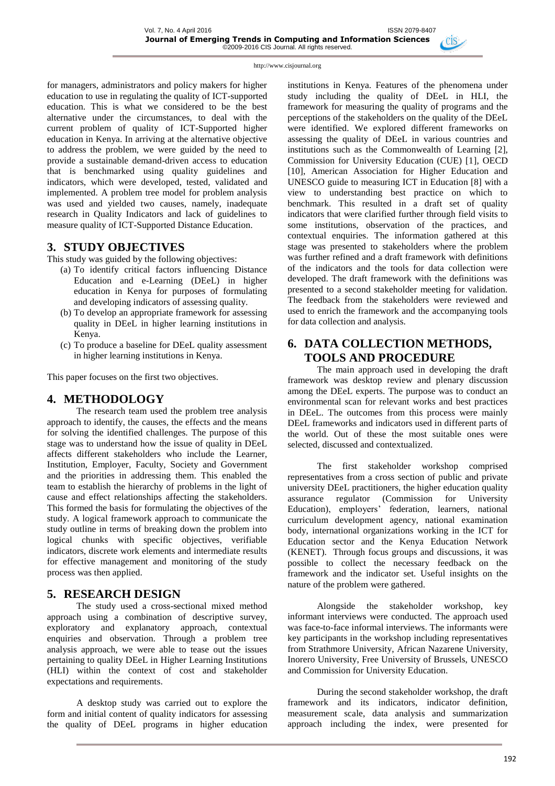for managers, administrators and policy makers for higher education to use in regulating the quality of ICT-supported education. This is what we considered to be the best alternative under the circumstances, to deal with the current problem of quality of ICT-Supported higher education in Kenya. In arriving at the alternative objective to address the problem, we were guided by the need to provide a sustainable demand-driven access to education that is benchmarked using quality guidelines and indicators, which were developed, tested, validated and implemented. A problem tree model for problem analysis was used and yielded two causes, namely, inadequate research in Quality Indicators and lack of guidelines to measure quality of ICT-Supported Distance Education.

### **3. STUDY OBJECTIVES**

This study was guided by the following objectives:

- (a) To identify critical factors influencing Distance Education and e-Learning (DEeL) in higher education in Kenya for purposes of formulating and developing indicators of assessing quality.
- (b) To develop an appropriate framework for assessing quality in DEeL in higher learning institutions in Kenya.
- (c) To produce a baseline for DEeL quality assessment in higher learning institutions in Kenya.

This paper focuses on the first two objectives.

### **4. METHODOLOGY**

The research team used the problem tree analysis approach to identify, the causes, the effects and the means for solving the identified challenges. The purpose of this stage was to understand how the issue of quality in DEeL affects different stakeholders who include the Learner, Institution, Employer, Faculty, Society and Government and the priorities in addressing them. This enabled the team to establish the hierarchy of problems in the light of cause and effect relationships affecting the stakeholders. This formed the basis for formulating the objectives of the study. A logical framework approach to communicate the study outline in terms of breaking down the problem into logical chunks with specific objectives, verifiable indicators, discrete work elements and intermediate results for effective management and monitoring of the study process was then applied.

### **5. RESEARCH DESIGN**

The study used a cross-sectional mixed method approach using a combination of descriptive survey, exploratory and explanatory approach, contextual enquiries and observation. Through a problem tree analysis approach, we were able to tease out the issues pertaining to quality DEeL in Higher Learning Institutions (HLI) within the context of cost and stakeholder expectations and requirements.

A desktop study was carried out to explore the form and initial content of quality indicators for assessing the quality of DEeL programs in higher education institutions in Kenya. Features of the phenomena under study including the quality of DEeL in HLI, the framework for measuring the quality of programs and the perceptions of the stakeholders on the quality of the DEeL were identified. We explored different frameworks on assessing the quality of DEeL in various countries and institutions such as the Commonwealth of Learning [2], Commission for University Education (CUE) [1], OECD [10], American Association for Higher Education and UNESCO guide to measuring ICT in Education [8] with a view to understanding best practice on which to benchmark. This resulted in a draft set of quality indicators that were clarified further through field visits to some institutions, observation of the practices, and contextual enquiries. The information gathered at this stage was presented to stakeholders where the problem was further refined and a draft framework with definitions of the indicators and the tools for data collection were developed. The draft framework with the definitions was presented to a second stakeholder meeting for validation. The feedback from the stakeholders were reviewed and used to enrich the framework and the accompanying tools for data collection and analysis.

# **6. DATA COLLECTION METHODS, TOOLS AND PROCEDURE**

The main approach used in developing the draft framework was desktop review and plenary discussion among the DEeL experts. The purpose was to conduct an environmental scan for relevant works and best practices in DEeL. The outcomes from this process were mainly DEeL frameworks and indicators used in different parts of the world. Out of these the most suitable ones were selected, discussed and contextualized.

The first stakeholder workshop comprised representatives from a cross section of public and private university DEeL practitioners, the higher education quality<br>assurance regulator (Commission for University regulator (Commission for University Education), employers' federation, learners, national curriculum development agency, national examination body, international organizations working in the ICT for Education sector and the Kenya Education Network (KENET). Through focus groups and discussions, it was possible to collect the necessary feedback on the framework and the indicator set. Useful insights on the nature of the problem were gathered.

Alongside the stakeholder workshop, key informant interviews were conducted. The approach used was face-to-face informal interviews. The informants were key participants in the workshop including representatives from Strathmore University, African Nazarene University, Inorero University, Free University of Brussels, UNESCO and Commission for University Education.

During the second stakeholder workshop, the draft framework and its indicators, indicator definition, measurement scale, data analysis and summarization approach including the index, were presented for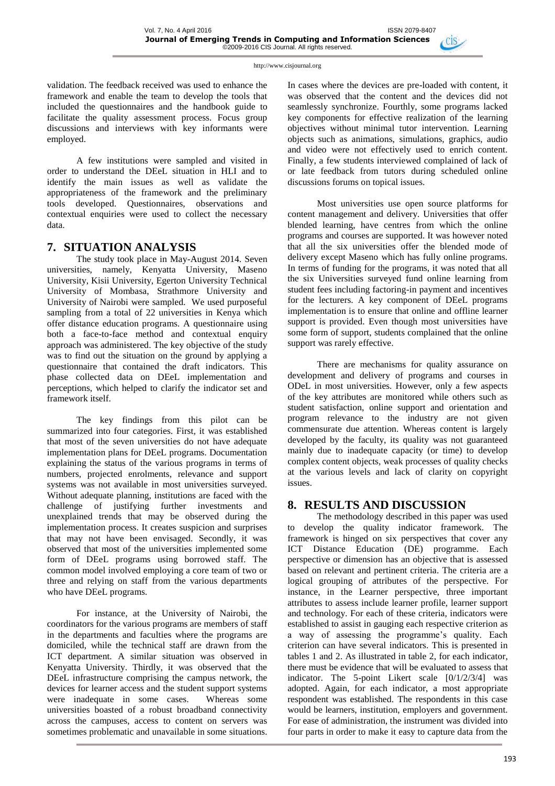validation. The feedback received was used to enhance the framework and enable the team to develop the tools that included the questionnaires and the handbook guide to facilitate the quality assessment process. Focus group discussions and interviews with key informants were employed.

A few institutions were sampled and visited in order to understand the DEeL situation in HLI and to identify the main issues as well as validate the appropriateness of the framework and the preliminary tools developed. Questionnaires, observations and contextual enquiries were used to collect the necessary data.

# **7. SITUATION ANALYSIS**

The study took place in May-August 2014. Seven universities, namely, Kenyatta University, Maseno University, Kisii University, Egerton University Technical University of Mombasa, Strathmore University and University of Nairobi were sampled. We used purposeful sampling from a total of 22 universities in Kenya which offer distance education programs. A questionnaire using both a face-to-face method and contextual enquiry approach was administered. The key objective of the study was to find out the situation on the ground by applying a questionnaire that contained the draft indicators. This phase collected data on DEeL implementation and perceptions, which helped to clarify the indicator set and framework itself.

The key findings from this pilot can be summarized into four categories. First, it was established that most of the seven universities do not have adequate implementation plans for DEeL programs. Documentation explaining the status of the various programs in terms of numbers, projected enrolments, relevance and support systems was not available in most universities surveyed. Without adequate planning, institutions are faced with the challenge of justifying further investments and unexplained trends that may be observed during the implementation process. It creates suspicion and surprises that may not have been envisaged. Secondly, it was observed that most of the universities implemented some form of DEeL programs using borrowed staff. The common model involved employing a core team of two or three and relying on staff from the various departments who have DEeL programs.

For instance, at the University of Nairobi, the coordinators for the various programs are members of staff in the departments and faculties where the programs are domiciled, while the technical staff are drawn from the ICT department. A similar situation was observed in Kenyatta University. Thirdly, it was observed that the DEeL infrastructure comprising the campus network, the devices for learner access and the student support systems were inadequate in some cases. Whereas some universities boasted of a robust broadband connectivity across the campuses, access to content on servers was sometimes problematic and unavailable in some situations.

In cases where the devices are pre-loaded with content, it was observed that the content and the devices did not seamlessly synchronize. Fourthly, some programs lacked key components for effective realization of the learning objectives without minimal tutor intervention. Learning objects such as animations, simulations, graphics, audio and video were not effectively used to enrich content. Finally, a few students interviewed complained of lack of or late feedback from tutors during scheduled online discussions forums on topical issues.

Most universities use open source platforms for content management and delivery. Universities that offer blended learning, have centres from which the online programs and courses are supported. It was however noted that all the six universities offer the blended mode of delivery except Maseno which has fully online programs. In terms of funding for the programs, it was noted that all the six Universities surveyed fund online learning from student fees including factoring-in payment and incentives for the lecturers. A key component of DEeL programs implementation is to ensure that online and offline learner support is provided. Even though most universities have some form of support, students complained that the online support was rarely effective.

There are mechanisms for quality assurance on development and delivery of programs and courses in ODeL in most universities. However, only a few aspects of the key attributes are monitored while others such as student satisfaction, online support and orientation and program relevance to the industry are not given commensurate due attention. Whereas content is largely developed by the faculty, its quality was not guaranteed mainly due to inadequate capacity (or time) to develop complex content objects, weak processes of quality checks at the various levels and lack of clarity on copyright issues.

# **8. RESULTS AND DISCUSSION**

The methodology described in this paper was used to develop the quality indicator framework. The framework is hinged on six perspectives that cover any ICT Distance Education (DE) programme. Each perspective or dimension has an objective that is assessed based on relevant and pertinent criteria. The criteria are a logical grouping of attributes of the perspective. For instance, in the Learner perspective, three important attributes to assess include learner profile, learner support and technology. For each of these criteria, indicators were established to assist in gauging each respective criterion as a way of assessing the programme's quality. Each criterion can have several indicators. This is presented in tables 1 and 2. As illustrated in table 2, for each indicator, there must be evidence that will be evaluated to assess that indicator. The 5-point Likert scale [0/1/2/3/4] was adopted. Again, for each indicator, a most appropriate respondent was established. The respondents in this case would be learners, institution, employers and government. For ease of administration, the instrument was divided into four parts in order to make it easy to capture data from the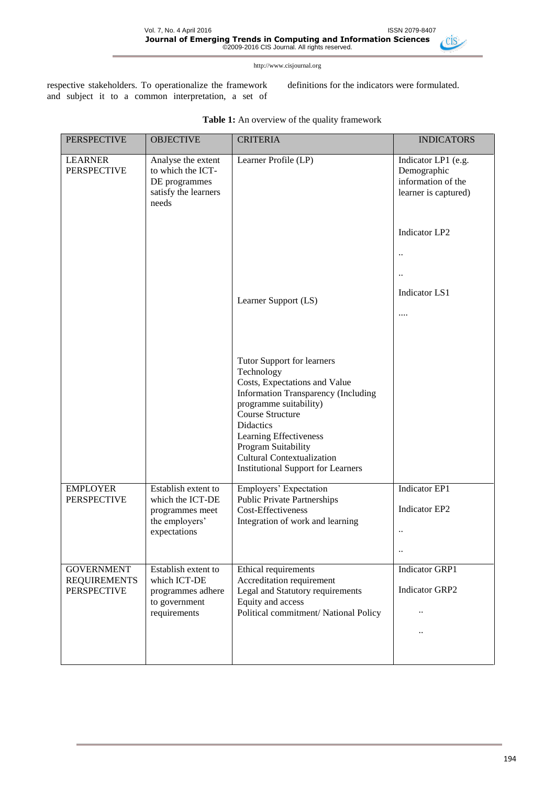$\triangle$ Cis

http://www.cisjournal.org

Vol. 7, No. 4 April 2016 ISSN 2079-8407

respective stakeholders. To operationalize the framework and subject it to a common interpretation, a set of definitions for the indicators were formulated.

| <b>PERSPECTIVE</b>                       | <b>OBJECTIVE</b>                                                                             | <b>CRITERIA</b>                                                                                                                                                                                                                                                                                                       | <b>INDICATORS</b>                                                                     |
|------------------------------------------|----------------------------------------------------------------------------------------------|-----------------------------------------------------------------------------------------------------------------------------------------------------------------------------------------------------------------------------------------------------------------------------------------------------------------------|---------------------------------------------------------------------------------------|
| <b>LEARNER</b><br><b>PERSPECTIVE</b>     | Analyse the extent<br>to which the ICT-<br>DE programmes<br>satisfy the learners<br>needs    | Learner Profile (LP)                                                                                                                                                                                                                                                                                                  | Indicator LP1 (e.g.<br>Demographic<br>information of the<br>learner is captured)      |
|                                          |                                                                                              |                                                                                                                                                                                                                                                                                                                       | <b>Indicator LP2</b>                                                                  |
|                                          |                                                                                              |                                                                                                                                                                                                                                                                                                                       | $\ddot{\phantom{0}}$                                                                  |
|                                          |                                                                                              |                                                                                                                                                                                                                                                                                                                       | $\ddotsc$                                                                             |
|                                          |                                                                                              | Learner Support (LS)                                                                                                                                                                                                                                                                                                  | <b>Indicator LS1</b>                                                                  |
|                                          |                                                                                              |                                                                                                                                                                                                                                                                                                                       |                                                                                       |
|                                          |                                                                                              |                                                                                                                                                                                                                                                                                                                       |                                                                                       |
|                                          |                                                                                              | Tutor Support for learners<br>Technology<br>Costs, Expectations and Value<br><b>Information Transparency (Including</b><br>programme suitability)<br>Course Structure<br>Didactics<br>Learning Effectiveness<br>Program Suitability<br><b>Cultural Contextualization</b><br><b>Institutional Support for Learners</b> |                                                                                       |
| <b>EMPLOYER</b><br><b>PERSPECTIVE</b>    | Establish extent to<br>which the ICT-DE<br>programmes meet<br>the employers'<br>expectations | Employers' Expectation<br><b>Public Private Partnerships</b><br>Cost-Effectiveness<br>Integration of work and learning                                                                                                                                                                                                | <b>Indicator EP1</b><br>Indicator EP2<br>$\ddot{\phantom{0}}$<br>$\ddot{\phantom{a}}$ |
| <b>GOVERNMENT</b><br><b>REQUIREMENTS</b> | Establish extent to<br>which ICT-DE                                                          | Ethical requirements<br>Accreditation requirement                                                                                                                                                                                                                                                                     | <b>Indicator GRP1</b>                                                                 |
| <b>PERSPECTIVE</b>                       | programmes adhere                                                                            | Legal and Statutory requirements                                                                                                                                                                                                                                                                                      | Indicator GRP2                                                                        |
|                                          | to government<br>requirements                                                                | Equity and access<br>Political commitment/ National Policy                                                                                                                                                                                                                                                            |                                                                                       |
|                                          |                                                                                              |                                                                                                                                                                                                                                                                                                                       |                                                                                       |
|                                          |                                                                                              |                                                                                                                                                                                                                                                                                                                       |                                                                                       |

**Table 1:** An overview of the quality framework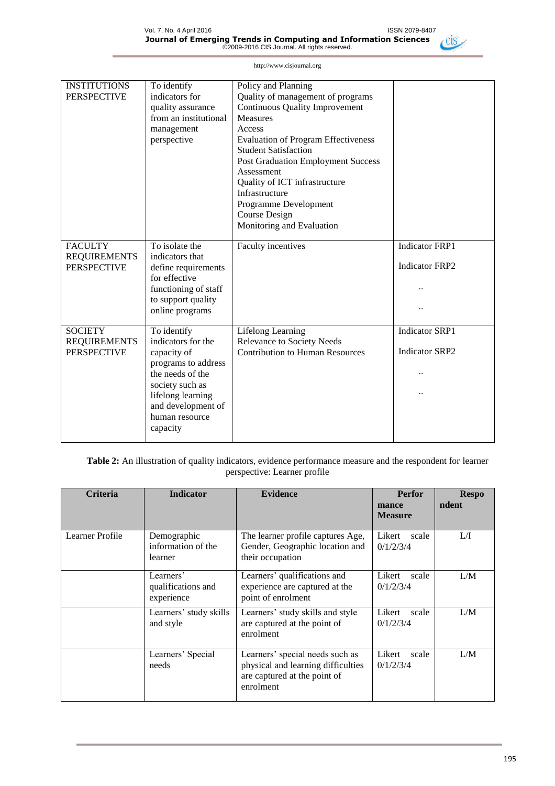

| <b>INSTITUTIONS</b><br><b>PERSPECTIVE</b>                   | To identify<br>indicators for<br>quality assurance<br>from an institutional<br>management<br>perspective                                                                                | Policy and Planning<br>Quality of management of programs<br><b>Continuous Quality Improvement</b><br><b>Measures</b><br>Access<br><b>Evaluation of Program Effectiveness</b><br><b>Student Satisfaction</b><br><b>Post Graduation Employment Success</b><br>Assessment<br>Quality of ICT infrastructure<br>Infrastructure<br>Programme Development<br>Course Design<br>Monitoring and Evaluation |                                                |
|-------------------------------------------------------------|-----------------------------------------------------------------------------------------------------------------------------------------------------------------------------------------|--------------------------------------------------------------------------------------------------------------------------------------------------------------------------------------------------------------------------------------------------------------------------------------------------------------------------------------------------------------------------------------------------|------------------------------------------------|
| <b>FACULTY</b><br><b>REQUIREMENTS</b><br><b>PERSPECTIVE</b> | To isolate the<br>indicators that<br>define requirements<br>for effective<br>functioning of staff<br>to support quality<br>online programs                                              | Faculty incentives                                                                                                                                                                                                                                                                                                                                                                               | <b>Indicator FRP1</b><br><b>Indicator FRP2</b> |
| <b>SOCIETY</b><br><b>REQUIREMENTS</b><br><b>PERSPECTIVE</b> | To identify<br>indicators for the<br>capacity of<br>programs to address<br>the needs of the<br>society such as<br>lifelong learning<br>and development of<br>human resource<br>capacity | Lifelong Learning<br><b>Relevance to Society Needs</b><br><b>Contribution to Human Resources</b>                                                                                                                                                                                                                                                                                                 | <b>Indicator SRP1</b><br><b>Indicator SRP2</b> |

**Table 2:** An illustration of quality indicators, evidence performance measure and the respondent for learner perspective: Learner profile

| <b>Criteria</b> | <b>Indicator</b>                              | <b>Evidence</b>                                                                                                    | <b>Perfor</b><br>mance<br><b>Measure</b> | <b>Respo</b><br>ndent |
|-----------------|-----------------------------------------------|--------------------------------------------------------------------------------------------------------------------|------------------------------------------|-----------------------|
| Learner Profile | Demographic<br>information of the<br>learner  | The learner profile captures Age,<br>Gender, Geographic location and<br>their occupation                           | Likert<br>scale<br>0/1/2/3/4             | LЛ                    |
|                 | Learners'<br>qualifications and<br>experience | Learners' qualifications and<br>experience are captured at the<br>point of enrolment                               | Likert<br>scale<br>0/1/2/3/4             | L/M                   |
|                 | Learners' study skills<br>and style           | Learners' study skills and style<br>are captured at the point of<br>enrolment                                      | Likert<br>scale<br>0/1/2/3/4             | L/M                   |
|                 | Learners' Special<br>needs                    | Learners' special needs such as<br>physical and learning difficulties<br>are captured at the point of<br>enrolment | Likert<br>scale<br>0/1/2/3/4             | L/M                   |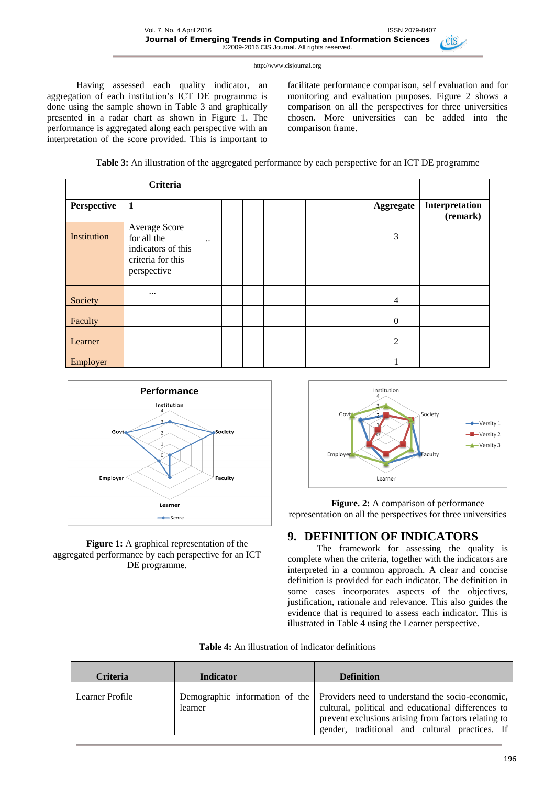Having assessed each quality indicator, an aggregation of each institution's ICT DE programme is done using the sample shown in Table 3 and graphically presented in a radar chart as shown in Figure 1. The performance is aggregated along each perspective with an interpretation of the score provided. This is important to facilitate performance comparison, self evaluation and for monitoring and evaluation purposes. Figure 2 shows a comparison on all the perspectives for three universities chosen. More universities can be added into the comparison frame.



|             | <b>Criteria</b>                                                                        |           |  |  |  |                          |                            |
|-------------|----------------------------------------------------------------------------------------|-----------|--|--|--|--------------------------|----------------------------|
| Perspective | $\mathbf{1}$                                                                           |           |  |  |  | Aggregate                | Interpretation<br>(remark) |
| Institution | Average Score<br>for all the<br>indicators of this<br>criteria for this<br>perspective | $\ddotsc$ |  |  |  | 3                        |                            |
| Society     | $\cdots$                                                                               |           |  |  |  | $\overline{\mathcal{A}}$ |                            |
| Faculty     |                                                                                        |           |  |  |  | $\boldsymbol{0}$         |                            |
| Learner     |                                                                                        |           |  |  |  | $\overline{2}$           |                            |
| Employer    |                                                                                        |           |  |  |  |                          |                            |



### **Figure 1:** A graphical representation of the aggregated performance by each perspective for an ICT DE programme.



### **Figure. 2:** A comparison of performance representation on all the perspectives for three universities

# **9. DEFINITION OF INDICATORS**

The framework for assessing the quality is complete when the criteria, together with the indicators are interpreted in a common approach. A clear and concise definition is provided for each indicator. The definition in some cases incorporates aspects of the objectives, justification, rationale and relevance. This also guides the evidence that is required to assess each indicator. This is illustrated in Table 4 using the Learner perspective.

| <b>Table 4:</b> An illustration of indicator definitions |  |
|----------------------------------------------------------|--|
|----------------------------------------------------------|--|

| <b>Criteria</b> | <b>Indicator</b> | <b>Definition</b>                                                                                                                                                                                                                              |
|-----------------|------------------|------------------------------------------------------------------------------------------------------------------------------------------------------------------------------------------------------------------------------------------------|
| Learner Profile | learner          | Demographic information of the Providers need to understand the socio-economic,<br>cultural, political and educational differences to<br>prevent exclusions arising from factors relating to<br>gender, traditional and cultural practices. If |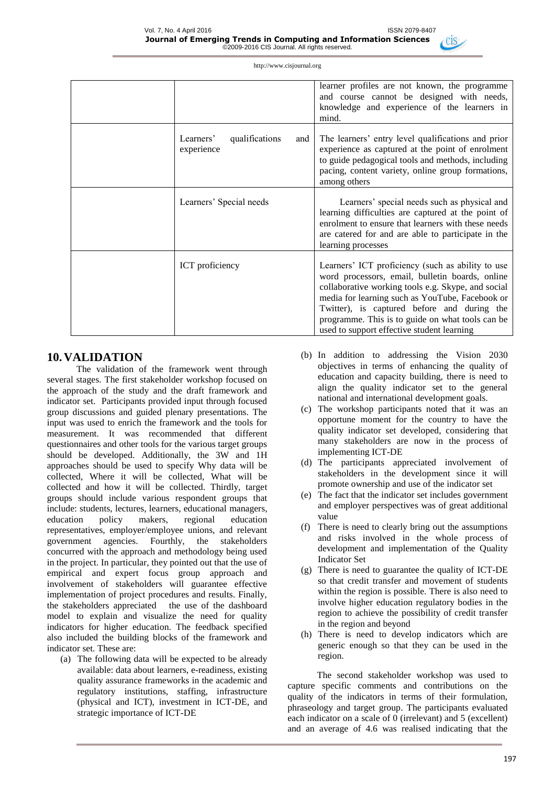|                                                  | learner profiles are not known, the programme<br>and course cannot be designed with needs,<br>knowledge and experience of the learners in<br>mind.                                                                                                                                                                                                             |
|--------------------------------------------------|----------------------------------------------------------------------------------------------------------------------------------------------------------------------------------------------------------------------------------------------------------------------------------------------------------------------------------------------------------------|
| Learners'<br>qualifications<br>and<br>experience | The learners' entry level qualifications and prior<br>experience as captured at the point of enrolment<br>to guide pedagogical tools and methods, including<br>pacing, content variety, online group formations,<br>among others                                                                                                                               |
| Learners' Special needs                          | Learners' special needs such as physical and<br>learning difficulties are captured at the point of<br>enrolment to ensure that learners with these needs<br>are catered for and are able to participate in the<br>learning processes                                                                                                                           |
| <b>ICT</b> proficiency                           | Learners' ICT proficiency (such as ability to use<br>word processors, email, bulletin boards, online<br>collaborative working tools e.g. Skype, and social<br>media for learning such as YouTube, Facebook or<br>Twitter), is captured before and during the<br>programme. This is to guide on what tools can be<br>used to support effective student learning |

### **10.VALIDATION**

The validation of the framework went through several stages. The first stakeholder workshop focused on the approach of the study and the draft framework and indicator set. Participants provided input through focused group discussions and guided plenary presentations. The input was used to enrich the framework and the tools for measurement. It was recommended that different questionnaires and other tools for the various target groups should be developed. Additionally, the 3W and 1H approaches should be used to specify Why data will be collected, Where it will be collected, What will be collected and how it will be collected. Thirdly, target groups should include various respondent groups that include: students, lectures, learners, educational managers, education policy makers, regional education representatives, employer/employee unions, and relevant government agencies. Fourthly, the stakeholders concurred with the approach and methodology being used in the project. In particular, they pointed out that the use of empirical and expert focus group approach and involvement of stakeholders will guarantee effective implementation of project procedures and results. Finally, the stakeholders appreciated the use of the dashboard model to explain and visualize the need for quality indicators for higher education. The feedback specified also included the building blocks of the framework and indicator set. These are:

(a) The following data will be expected to be already available: data about learners, e-readiness, existing quality assurance frameworks in the academic and regulatory institutions, staffing, infrastructure (physical and ICT), investment in ICT-DE, and strategic importance of ICT-DE

- (b) In addition to addressing the Vision 2030 objectives in terms of enhancing the quality of education and capacity building, there is need to align the quality indicator set to the general national and international development goals.
- (c) The workshop participants noted that it was an opportune moment for the country to have the quality indicator set developed, considering that many stakeholders are now in the process of implementing ICT-DE
- (d) The participants appreciated involvement of stakeholders in the development since it will promote ownership and use of the indicator set
- (e) The fact that the indicator set includes government and employer perspectives was of great additional value
- (f) There is need to clearly bring out the assumptions and risks involved in the whole process of development and implementation of the Quality Indicator Set
- (g) There is need to guarantee the quality of ICT-DE so that credit transfer and movement of students within the region is possible. There is also need to involve higher education regulatory bodies in the region to achieve the possibility of credit transfer in the region and beyond
- (h) There is need to develop indicators which are generic enough so that they can be used in the region.

The second stakeholder workshop was used to capture specific comments and contributions on the quality of the indicators in terms of their formulation, phraseology and target group. The participants evaluated each indicator on a scale of 0 (irrelevant) and 5 (excellent) and an average of 4.6 was realised indicating that the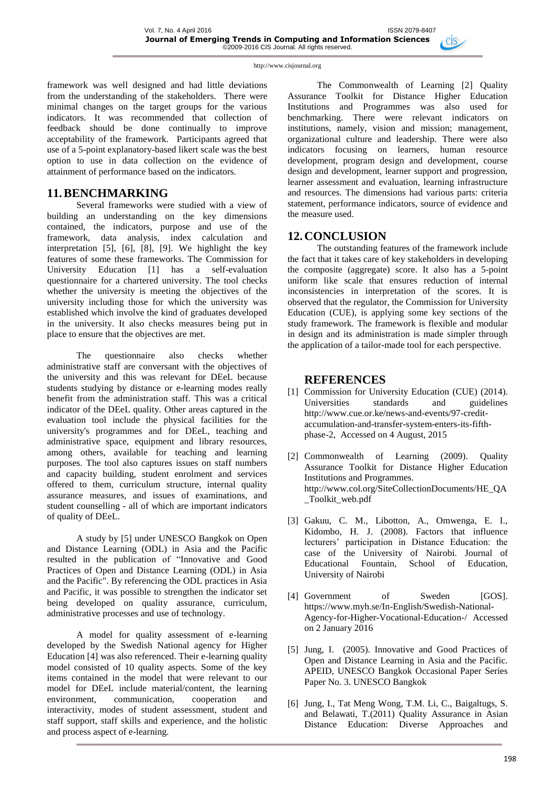framework was well designed and had little deviations from the understanding of the stakeholders. There were minimal changes on the target groups for the various indicators. It was recommended that collection of feedback should be done continually to improve acceptability of the framework. Participants agreed that use of a 5-point explanatory-based likert scale was the best option to use in data collection on the evidence of attainment of performance based on the indicators.

### **11.BENCHMARKING**

Several frameworks were studied with a view of building an understanding on the key dimensions contained, the indicators, purpose and use of the framework, data analysis, index calculation and interpretation [5], [6], [8], [9]. We highlight the key features of some these frameworks. The Commission for University Education [1] has a self-evaluation questionnaire for a chartered university. The tool checks whether the university is meeting the objectives of the university including those for which the university was established which involve the kind of graduates developed in the university. It also checks measures being put in place to ensure that the objectives are met.

The questionnaire also checks whether administrative staff are conversant with the objectives of the university and this was relevant for DEeL because students studying by distance or e-learning modes really benefit from the administration staff. This was a critical indicator of the DEeL quality. Other areas captured in the evaluation tool include the physical facilities for the university's programmes and for DEeL, teaching and administrative space, equipment and library resources, among others, available for teaching and learning purposes. The tool also captures issues on staff numbers and capacity building, student enrolment and services offered to them, curriculum structure, internal quality assurance measures, and issues of examinations, and student counselling - all of which are important indicators of quality of DEeL.

A study by [5] under UNESCO Bangkok on Open and Distance Learning (ODL) in Asia and the Pacific resulted in the publication of "Innovative and Good Practices of Open and Distance Learning (ODL) in Asia and the Pacific". By referencing the ODL practices in Asia and Pacific, it was possible to strengthen the indicator set being developed on quality assurance, curriculum, administrative processes and use of technology.

A model for quality assessment of e-learning developed by the Swedish National agency for Higher Education [4] was also referenced. Their e-learning quality model consisted of 10 quality aspects. Some of the key items contained in the model that were relevant to our model for DEeL include material/content, the learning environment, communication, cooperation and interactivity, modes of student assessment, student and staff support, staff skills and experience, and the holistic and process aspect of e-learning.

The Commonwealth of Learning [2] Quality Assurance Toolkit for Distance Higher Education Institutions and Programmes was also used for benchmarking. There were relevant indicators on institutions, namely, vision and mission; management, organizational culture and leadership. There were also indicators focusing on learners, human resource development, program design and development, course design and development, learner support and progression, learner assessment and evaluation, learning infrastructure and resources. The dimensions had various parts: criteria statement, performance indicators, source of evidence and the measure used.

# **12.CONCLUSION**

The outstanding features of the framework include the fact that it takes care of key stakeholders in developing the composite (aggregate) score. It also has a 5-point uniform like scale that ensures reduction of internal inconsistencies in interpretation of the scores. It is observed that the regulator, the Commission for University Education (CUE), is applying some key sections of the study framework. The framework is flexible and modular in design and its administration is made simpler through the application of a tailor-made tool for each perspective.

### **REFERENCES**

- [1] Commission for University Education (CUE) (2014). Universities standards and guidelines [http://www.cue.or.ke/news-and-events/97-credit](http://www.cue.or.ke/news-and-events/97-credit-accumulation-and-transfer-system-enters-its-fifth-phase-2)[accumulation-and-transfer-system-enters-its-fifth](http://www.cue.or.ke/news-and-events/97-credit-accumulation-and-transfer-system-enters-its-fifth-phase-2)[phase-2,](http://www.cue.or.ke/news-and-events/97-credit-accumulation-and-transfer-system-enters-its-fifth-phase-2) Accessed on 4 August, 2015
- [2] Commonwealth of Learning (2009). Quality Assurance Toolkit for Distance Higher Education Institutions and Programmes. [http://www.col.org/SiteCollectionDocuments/HE\\_QA](http://www.col.org/SiteCollectionDocuments/HE_QA_Toolkit_web.pdf) [\\_Toolkit\\_web.pdf](http://www.col.org/SiteCollectionDocuments/HE_QA_Toolkit_web.pdf)
- [3] Gakuu, C. M., Libotton, A., Omwenga, E. I., Kidombo, H. J. (2008). Factors that influence lecturers' participation in Distance Education: the case of the University of Nairobi. Journal of Educational Fountain, School of Education, University of Nairobi
- [4] Government of Sweden [GOS]. [https://www.myh.se/In-English/Swedish-National-](https://www.myh.se/In-English/Swedish-National-Agency-for-Higher-Vocational-Education-/)[Agency-for-Higher-Vocational-Education-/](https://www.myh.se/In-English/Swedish-National-Agency-for-Higher-Vocational-Education-/) Accessed on 2 January 2016
- [5] Jung, I. (2005). Innovative and Good Practices of Open and Distance Learning in Asia and the Pacific. APEID, UNESCO Bangkok Occasional Paper Series Paper No. 3. UNESCO Bangkok
- [6] Jung, I., Tat Meng Wong, T.M. Li, C., Baigaltugs, S. and Belawati, T.(2011) Quality Assurance in Asian Distance Education: Diverse Approaches and